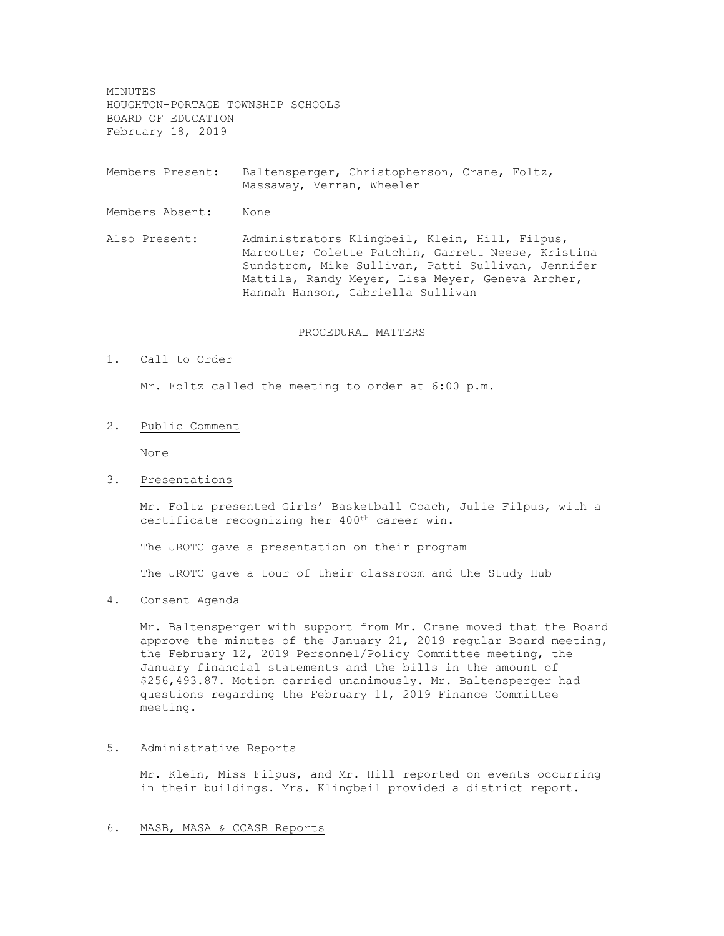MINUTES HOUGHTON-PORTAGE TOWNSHIP SCHOOLS BOARD OF EDUCATION February 18, 2019

Members Present: Baltensperger, Christopherson, Crane, Foltz, Massaway, Verran, Wheeler

Members Absent: None

Also Present: Administrators Klingbeil, Klein, Hill, Filpus, Marcotte; Colette Patchin, Garrett Neese, Kristina Sundstrom, Mike Sullivan, Patti Sullivan, Jennifer Mattila, Randy Meyer, Lisa Meyer, Geneva Archer, Hannah Hanson, Gabriella Sullivan

#### PROCEDURAL MATTERS

### 1. Call to Order

Mr. Foltz called the meeting to order at 6:00 p.m.

2. Public Comment

None

### 3. Presentations

Mr. Foltz presented Girls' Basketball Coach, Julie Filpus, with a certificate recognizing her 400<sup>th</sup> career win.

The JROTC gave a presentation on their program

The JROTC gave a tour of their classroom and the Study Hub

# 4. Consent Agenda

Mr. Baltensperger with support from Mr. Crane moved that the Board approve the minutes of the January 21, 2019 regular Board meeting, the February 12, 2019 Personnel/Policy Committee meeting, the January financial statements and the bills in the amount of \$256,493.87. Motion carried unanimously. Mr. Baltensperger had questions regarding the February 11, 2019 Finance Committee meeting.

## 5. Administrative Reports

Mr. Klein, Miss Filpus, and Mr. Hill reported on events occurring in their buildings. Mrs. Klingbeil provided a district report.

## 6. MASB, MASA & CCASB Reports